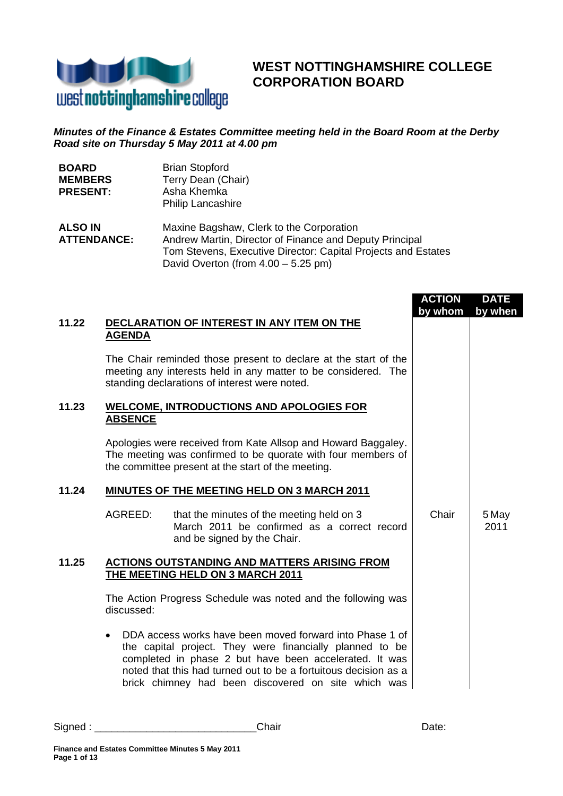

# **WEST NOTTINGHAMSHIRE COLLEGE CORPORATION BOARD**

## *Minutes of the Finance & Estates Committee meeting held in the Board Room at the Derby Road site on Thursday 5 May 2011 at 4.00 pm*

| <b>BOARD</b><br><b>MEMBERS</b><br><b>PRESENT:</b> |                | <b>Brian Stopford</b><br>Terry Dean (Chair)<br>Asha Khemka<br><b>Philip Lancashire</b>                                                                                                                                                            |                          |                        |
|---------------------------------------------------|----------------|---------------------------------------------------------------------------------------------------------------------------------------------------------------------------------------------------------------------------------------------------|--------------------------|------------------------|
| <b>ALSO IN</b><br><b>ATTENDANCE:</b>              |                | Maxine Bagshaw, Clerk to the Corporation<br>Andrew Martin, Director of Finance and Deputy Principal<br>Tom Stevens, Executive Director: Capital Projects and Estates<br>David Overton (from $4.00 - 5.25$ pm)                                     |                          |                        |
| 11.22                                             | <b>AGENDA</b>  | DECLARATION OF INTEREST IN ANY ITEM ON THE                                                                                                                                                                                                        | <b>ACTION</b><br>by whom | <b>DATE</b><br>by when |
|                                                   |                | The Chair reminded those present to declare at the start of the<br>meeting any interests held in any matter to be considered. The<br>standing declarations of interest were noted.                                                                |                          |                        |
| 11.23                                             | <b>ABSENCE</b> | <b>WELCOME, INTRODUCTIONS AND APOLOGIES FOR</b>                                                                                                                                                                                                   |                          |                        |
|                                                   |                | Apologies were received from Kate Allsop and Howard Baggaley.<br>The meeting was confirmed to be quorate with four members of<br>the committee present at the start of the meeting.                                                               |                          |                        |
| 11.24                                             |                | <b>MINUTES OF THE MEETING HELD ON 3 MARCH 2011</b>                                                                                                                                                                                                |                          |                        |
|                                                   | AGREED:        | that the minutes of the meeting held on 3<br>March 2011 be confirmed as a correct record<br>and be signed by the Chair.                                                                                                                           | Chair                    | 5 May<br>2011          |
| 11.25                                             |                | <b>ACTIONS OUTSTANDING AND MATTERS ARISING FROM</b><br>THE MEETING HELD ON 3 MARCH 2011                                                                                                                                                           |                          |                        |
|                                                   | discussed:     | The Action Progress Schedule was noted and the following was                                                                                                                                                                                      |                          |                        |
|                                                   |                | DDA access works have been moved forward into Phase 1 of<br>the capital project. They were financially planned to be<br>completed in phase 2 but have been accelerated. It was<br>noted that this had turned out to be a fortuitous decision as a |                          |                        |

brick chimney had been discovered on site which was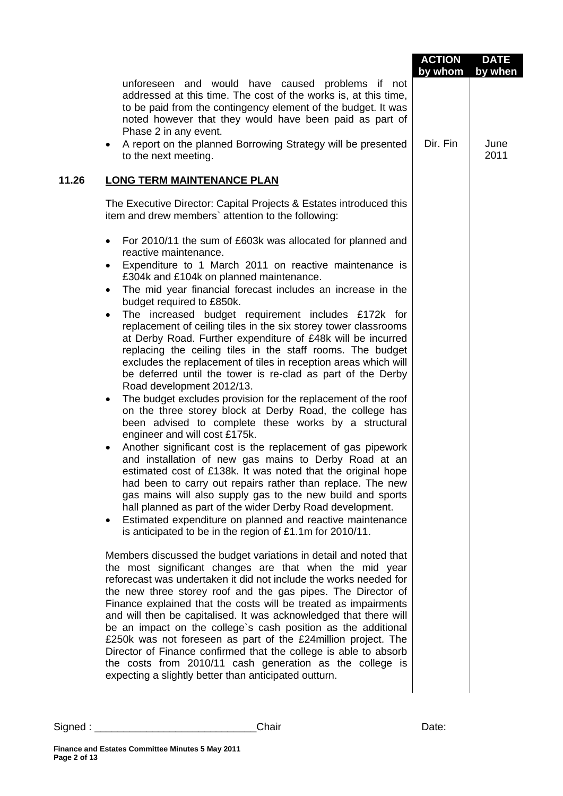|       |                                                                                                                                                                                                                                                                                                                                                                                                                                                                                                                                                                                                                                                                                                                                                                                                                                                                                                                                                                         | <b>ACTION</b><br>by whom | <b>DATE</b><br>by when |
|-------|-------------------------------------------------------------------------------------------------------------------------------------------------------------------------------------------------------------------------------------------------------------------------------------------------------------------------------------------------------------------------------------------------------------------------------------------------------------------------------------------------------------------------------------------------------------------------------------------------------------------------------------------------------------------------------------------------------------------------------------------------------------------------------------------------------------------------------------------------------------------------------------------------------------------------------------------------------------------------|--------------------------|------------------------|
|       | unforeseen and would have caused problems if not<br>addressed at this time. The cost of the works is, at this time,<br>to be paid from the contingency element of the budget. It was<br>noted however that they would have been paid as part of<br>Phase 2 in any event.                                                                                                                                                                                                                                                                                                                                                                                                                                                                                                                                                                                                                                                                                                |                          |                        |
|       | A report on the planned Borrowing Strategy will be presented<br>$\bullet$<br>to the next meeting.                                                                                                                                                                                                                                                                                                                                                                                                                                                                                                                                                                                                                                                                                                                                                                                                                                                                       | Dir. Fin                 | June<br>2011           |
| 11.26 | <b>LONG TERM MAINTENANCE PLAN</b>                                                                                                                                                                                                                                                                                                                                                                                                                                                                                                                                                                                                                                                                                                                                                                                                                                                                                                                                       |                          |                        |
|       | The Executive Director: Capital Projects & Estates introduced this<br>item and drew members' attention to the following:                                                                                                                                                                                                                                                                                                                                                                                                                                                                                                                                                                                                                                                                                                                                                                                                                                                |                          |                        |
|       | For 2010/11 the sum of £603k was allocated for planned and<br>$\bullet$<br>reactive maintenance.<br>Expenditure to 1 March 2011 on reactive maintenance is<br>£304k and £104k on planned maintenance.<br>The mid year financial forecast includes an increase in the<br>budget required to £850k.<br>The increased budget requirement includes £172k for<br>$\bullet$<br>replacement of ceiling tiles in the six storey tower classrooms<br>at Derby Road. Further expenditure of £48k will be incurred<br>replacing the ceiling tiles in the staff rooms. The budget<br>excludes the replacement of tiles in reception areas which will<br>be deferred until the tower is re-clad as part of the Derby<br>Road development 2012/13.<br>The budget excludes provision for the replacement of the roof<br>$\bullet$<br>on the three storey block at Derby Road, the college has<br>been advised to complete these works by a structural<br>engineer and will cost £175k. |                          |                        |
|       | Another significant cost is the replacement of gas pipework<br>and installation of new gas mains to Derby Road at an<br>estimated cost of £138k. It was noted that the original hope<br>had been to carry out repairs rather than replace. The new<br>gas mains will also supply gas to the new build and sports<br>hall planned as part of the wider Derby Road development.<br>Estimated expenditure on planned and reactive maintenance<br>is anticipated to be in the region of £1.1m for 2010/11.                                                                                                                                                                                                                                                                                                                                                                                                                                                                  |                          |                        |
|       | Members discussed the budget variations in detail and noted that<br>the most significant changes are that when the mid year<br>reforecast was undertaken it did not include the works needed for<br>the new three storey roof and the gas pipes. The Director of<br>Finance explained that the costs will be treated as impairments<br>and will then be capitalised. It was acknowledged that there will<br>be an impact on the college's cash position as the additional<br>£250k was not foreseen as part of the £24million project. The<br>Director of Finance confirmed that the college is able to absorb<br>the costs from 2010/11 cash generation as the college is<br>expecting a slightly better than anticipated outturn.                                                                                                                                                                                                                                     |                          |                        |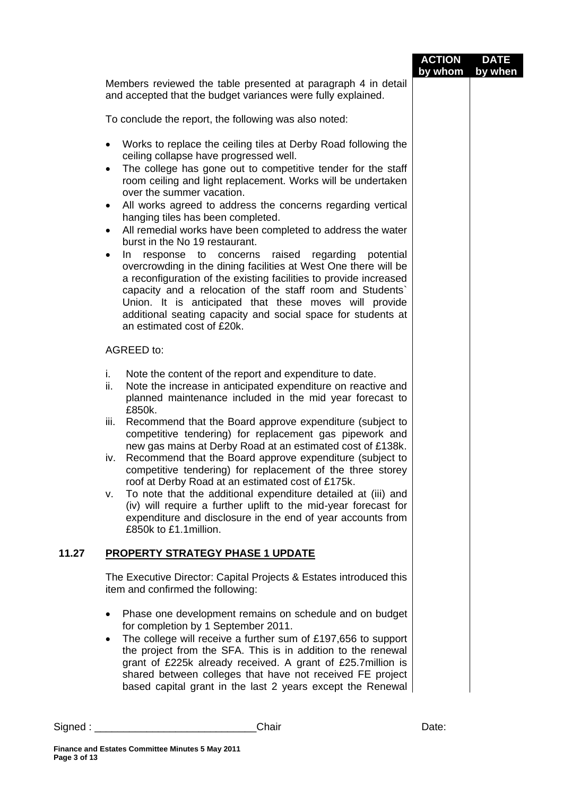|       |                                                                                                                                                                                                                                                                                                                                                                                                                                                                                                                                                                                                                                                                                                                                                                                                                                                                                                                                                                      | <b>ACTION</b><br>by whom | <b>DATE</b><br>by when |
|-------|----------------------------------------------------------------------------------------------------------------------------------------------------------------------------------------------------------------------------------------------------------------------------------------------------------------------------------------------------------------------------------------------------------------------------------------------------------------------------------------------------------------------------------------------------------------------------------------------------------------------------------------------------------------------------------------------------------------------------------------------------------------------------------------------------------------------------------------------------------------------------------------------------------------------------------------------------------------------|--------------------------|------------------------|
|       | Members reviewed the table presented at paragraph 4 in detail<br>and accepted that the budget variances were fully explained.                                                                                                                                                                                                                                                                                                                                                                                                                                                                                                                                                                                                                                                                                                                                                                                                                                        |                          |                        |
|       | To conclude the report, the following was also noted:                                                                                                                                                                                                                                                                                                                                                                                                                                                                                                                                                                                                                                                                                                                                                                                                                                                                                                                |                          |                        |
|       | Works to replace the ceiling tiles at Derby Road following the<br>$\bullet$<br>ceiling collapse have progressed well.<br>The college has gone out to competitive tender for the staff<br>$\bullet$<br>room ceiling and light replacement. Works will be undertaken<br>over the summer vacation.<br>All works agreed to address the concerns regarding vertical<br>$\bullet$<br>hanging tiles has been completed.<br>All remedial works have been completed to address the water<br>$\bullet$<br>burst in the No 19 restaurant.<br>raised regarding<br>potential<br>In response to concerns<br>$\bullet$<br>overcrowding in the dining facilities at West One there will be<br>a reconfiguration of the existing facilities to provide increased<br>capacity and a relocation of the staff room and Students'<br>Union. It is anticipated that these moves will provide<br>additional seating capacity and social space for students at<br>an estimated cost of £20k. |                          |                        |
|       | <b>AGREED to:</b>                                                                                                                                                                                                                                                                                                                                                                                                                                                                                                                                                                                                                                                                                                                                                                                                                                                                                                                                                    |                          |                        |
|       | i.<br>Note the content of the report and expenditure to date.<br>Note the increase in anticipated expenditure on reactive and<br>ii.<br>planned maintenance included in the mid year forecast to<br>£850k.                                                                                                                                                                                                                                                                                                                                                                                                                                                                                                                                                                                                                                                                                                                                                           |                          |                        |
|       | Recommend that the Board approve expenditure (subject to<br>iii.<br>competitive tendering) for replacement gas pipework and<br>new gas mains at Derby Road at an estimated cost of £138k.<br>Recommend that the Board approve expenditure (subject to<br>iv.                                                                                                                                                                                                                                                                                                                                                                                                                                                                                                                                                                                                                                                                                                         |                          |                        |
|       | competitive tendering) for replacement of the three storey<br>roof at Derby Road at an estimated cost of £175k.                                                                                                                                                                                                                                                                                                                                                                                                                                                                                                                                                                                                                                                                                                                                                                                                                                                      |                          |                        |
|       | To note that the additional expenditure detailed at (iii) and<br>v.<br>(iv) will require a further uplift to the mid-year forecast for<br>expenditure and disclosure in the end of year accounts from<br>£850k to £1.1 million.                                                                                                                                                                                                                                                                                                                                                                                                                                                                                                                                                                                                                                                                                                                                      |                          |                        |
| 11.27 | <b>PROPERTY STRATEGY PHASE 1 UPDATE</b>                                                                                                                                                                                                                                                                                                                                                                                                                                                                                                                                                                                                                                                                                                                                                                                                                                                                                                                              |                          |                        |
|       | The Executive Director: Capital Projects & Estates introduced this<br>item and confirmed the following:                                                                                                                                                                                                                                                                                                                                                                                                                                                                                                                                                                                                                                                                                                                                                                                                                                                              |                          |                        |
|       | Phase one development remains on schedule and on budget<br>$\bullet$<br>for completion by 1 September 2011.                                                                                                                                                                                                                                                                                                                                                                                                                                                                                                                                                                                                                                                                                                                                                                                                                                                          |                          |                        |
|       | The college will receive a further sum of £197,656 to support<br>$\bullet$<br>the project from the SFA. This is in addition to the renewal<br>grant of £225k already received. A grant of £25.7 million is<br>shared between colleges that have not received FE project<br>based capital grant in the last 2 years except the Renewal                                                                                                                                                                                                                                                                                                                                                                                                                                                                                                                                                                                                                                |                          |                        |
|       | Chair                                                                                                                                                                                                                                                                                                                                                                                                                                                                                                                                                                                                                                                                                                                                                                                                                                                                                                                                                                | Date:                    |                        |
|       | Finance and Estates Committee Minutes 5 May 2011                                                                                                                                                                                                                                                                                                                                                                                                                                                                                                                                                                                                                                                                                                                                                                                                                                                                                                                     |                          |                        |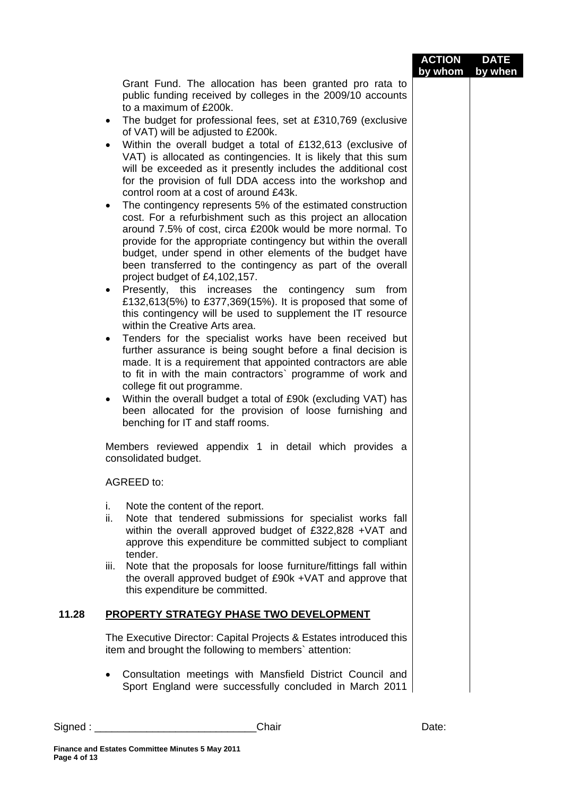|       |                                                                                                                                                                                                                                                                                                                                                                                                                                                                         | <b>ACTION</b><br>by whom | <b>DATE</b><br>by when |
|-------|-------------------------------------------------------------------------------------------------------------------------------------------------------------------------------------------------------------------------------------------------------------------------------------------------------------------------------------------------------------------------------------------------------------------------------------------------------------------------|--------------------------|------------------------|
|       | Grant Fund. The allocation has been granted pro rata to<br>public funding received by colleges in the 2009/10 accounts<br>to a maximum of £200k.                                                                                                                                                                                                                                                                                                                        |                          |                        |
|       | The budget for professional fees, set at £310,769 (exclusive<br>$\bullet$<br>of VAT) will be adjusted to £200k.                                                                                                                                                                                                                                                                                                                                                         |                          |                        |
|       | Within the overall budget a total of £132,613 (exclusive of<br>VAT) is allocated as contingencies. It is likely that this sum<br>will be exceeded as it presently includes the additional cost<br>for the provision of full DDA access into the workshop and<br>control room at a cost of around £43k.                                                                                                                                                                  |                          |                        |
|       | The contingency represents 5% of the estimated construction<br>$\bullet$<br>cost. For a refurbishment such as this project an allocation<br>around 7.5% of cost, circa £200k would be more normal. To<br>provide for the appropriate contingency but within the overall<br>budget, under spend in other elements of the budget have<br>been transferred to the contingency as part of the overall<br>project budget of £4,102,157.                                      |                          |                        |
|       | Presently, this increases the contingency sum from<br>$\bullet$<br>£132,613(5%) to £377,369(15%). It is proposed that some of<br>this contingency will be used to supplement the IT resource<br>within the Creative Arts area.                                                                                                                                                                                                                                          |                          |                        |
|       | Tenders for the specialist works have been received but<br>$\bullet$<br>further assurance is being sought before a final decision is<br>made. It is a requirement that appointed contractors are able<br>to fit in with the main contractors' programme of work and<br>college fit out programme.<br>Within the overall budget a total of £90k (excluding VAT) has<br>٠<br>been allocated for the provision of loose furnishing and<br>benching for IT and staff rooms. |                          |                        |
|       | Members reviewed appendix 1 in detail which provides a<br>consolidated budget.                                                                                                                                                                                                                                                                                                                                                                                          |                          |                        |
|       | AGREED to:                                                                                                                                                                                                                                                                                                                                                                                                                                                              |                          |                        |
|       | i.<br>Note the content of the report.<br>ii.<br>Note that tendered submissions for specialist works fall<br>within the overall approved budget of £322,828 +VAT and<br>approve this expenditure be committed subject to compliant<br>tender.                                                                                                                                                                                                                            |                          |                        |
|       | Note that the proposals for loose furniture/fittings fall within<br>iii.<br>the overall approved budget of £90k +VAT and approve that<br>this expenditure be committed.                                                                                                                                                                                                                                                                                                 |                          |                        |
| 11.28 | <b>PROPERTY STRATEGY PHASE TWO DEVELOPMENT</b>                                                                                                                                                                                                                                                                                                                                                                                                                          |                          |                        |
|       | The Executive Director: Capital Projects & Estates introduced this<br>item and brought the following to members' attention:                                                                                                                                                                                                                                                                                                                                             |                          |                        |
|       | Consultation meetings with Mansfield District Council and<br>Sport England were successfully concluded in March 2011                                                                                                                                                                                                                                                                                                                                                    |                          |                        |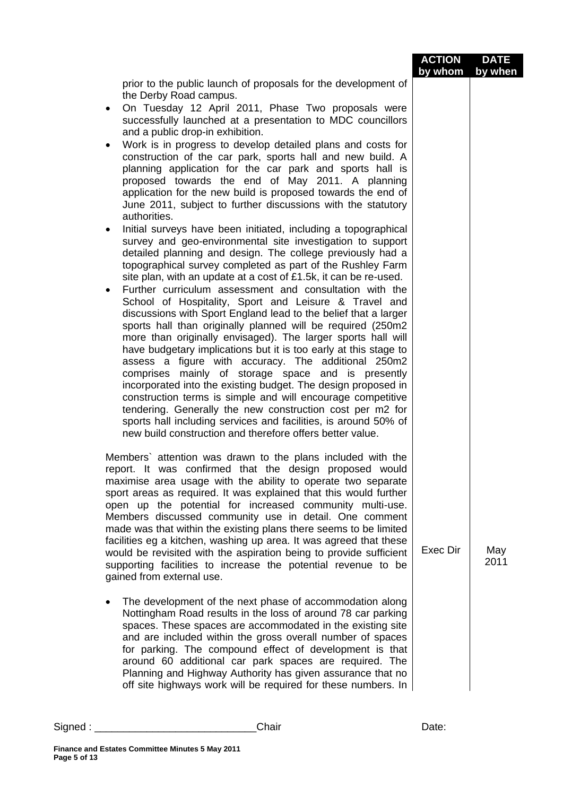|                                                                                                                                                                                                                                                                                                                                                                                                                                                                                                                                                                                                                                                                                                                                                                                                                                                                                                                                                                                                                                                                                                                                                                                            | <b>ACTION</b><br>by whom by when | <b>DATE</b> |
|--------------------------------------------------------------------------------------------------------------------------------------------------------------------------------------------------------------------------------------------------------------------------------------------------------------------------------------------------------------------------------------------------------------------------------------------------------------------------------------------------------------------------------------------------------------------------------------------------------------------------------------------------------------------------------------------------------------------------------------------------------------------------------------------------------------------------------------------------------------------------------------------------------------------------------------------------------------------------------------------------------------------------------------------------------------------------------------------------------------------------------------------------------------------------------------------|----------------------------------|-------------|
| prior to the public launch of proposals for the development of<br>the Derby Road campus.<br>On Tuesday 12 April 2011, Phase Two proposals were<br>$\bullet$<br>successfully launched at a presentation to MDC councillors<br>and a public drop-in exhibition.<br>Work is in progress to develop detailed plans and costs for<br>construction of the car park, sports hall and new build. A<br>planning application for the car park and sports hall is<br>proposed towards the end of May 2011. A planning<br>application for the new build is proposed towards the end of<br>June 2011, subject to further discussions with the statutory<br>authorities.                                                                                                                                                                                                                                                                                                                                                                                                                                                                                                                                 |                                  |             |
| Initial surveys have been initiated, including a topographical<br>$\bullet$<br>survey and geo-environmental site investigation to support<br>detailed planning and design. The college previously had a<br>topographical survey completed as part of the Rushley Farm<br>site plan, with an update at a cost of £1.5k, it can be re-used.<br>Further curriculum assessment and consultation with the<br>$\bullet$<br>School of Hospitality, Sport and Leisure & Travel and<br>discussions with Sport England lead to the belief that a larger<br>sports hall than originally planned will be required (250m2<br>more than originally envisaged). The larger sports hall will<br>have budgetary implications but it is too early at this stage to<br>assess a figure with accuracy. The additional 250m2<br>comprises mainly of storage space and is presently<br>incorporated into the existing budget. The design proposed in<br>construction terms is simple and will encourage competitive<br>tendering. Generally the new construction cost per m2 for<br>sports hall including services and facilities, is around 50% of<br>new build construction and therefore offers better value. |                                  |             |
| Members' attention was drawn to the plans included with the<br>report. It was confirmed that the design proposed would<br>maximise area usage with the ability to operate two separate<br>sport areas as required. It was explained that this would further<br>open up the potential for increased community multi-use.<br>Members discussed community use in detail. One comment<br>made was that within the existing plans there seems to be limited<br>facilities eg a kitchen, washing up area. It was agreed that these<br>would be revisited with the aspiration being to provide sufficient<br>supporting facilities to increase the potential revenue to be<br>gained from external use.                                                                                                                                                                                                                                                                                                                                                                                                                                                                                           | Exec Dir                         | May<br>2011 |
| The development of the next phase of accommodation along<br>Nottingham Road results in the loss of around 78 car parking<br>spaces. These spaces are accommodated in the existing site<br>and are included within the gross overall number of spaces<br>for parking. The compound effect of development is that<br>around 60 additional car park spaces are required. The<br>Planning and Highway Authority has given assurance that no<br>off site highways work will be required for these numbers. In                                                                                                                                                                                                                                                                                                                                                                                                                                                                                                                                                                                                                                                                                   |                                  |             |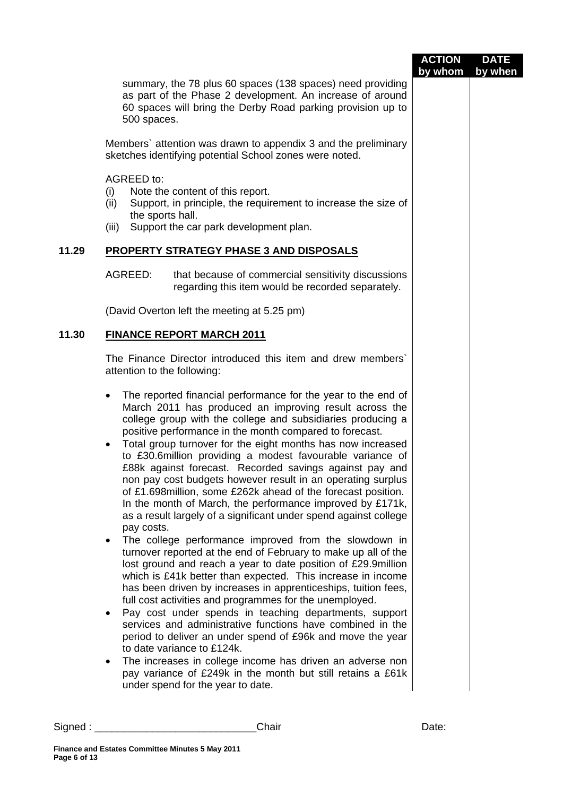|       |                                                                                                                                                                                                                                                                                                                                                                                                                                                                                                                                                                                                                                                                                                                                                                                                                                                                                                                                                                                                                                                                                                                                                                                                                                                                                                                                                                                                                                                                                                                                             | <b>ACTION</b><br>by whom | <b>DATE</b><br>by when |
|-------|---------------------------------------------------------------------------------------------------------------------------------------------------------------------------------------------------------------------------------------------------------------------------------------------------------------------------------------------------------------------------------------------------------------------------------------------------------------------------------------------------------------------------------------------------------------------------------------------------------------------------------------------------------------------------------------------------------------------------------------------------------------------------------------------------------------------------------------------------------------------------------------------------------------------------------------------------------------------------------------------------------------------------------------------------------------------------------------------------------------------------------------------------------------------------------------------------------------------------------------------------------------------------------------------------------------------------------------------------------------------------------------------------------------------------------------------------------------------------------------------------------------------------------------------|--------------------------|------------------------|
|       | summary, the 78 plus 60 spaces (138 spaces) need providing<br>as part of the Phase 2 development. An increase of around<br>60 spaces will bring the Derby Road parking provision up to<br>500 spaces.                                                                                                                                                                                                                                                                                                                                                                                                                                                                                                                                                                                                                                                                                                                                                                                                                                                                                                                                                                                                                                                                                                                                                                                                                                                                                                                                       |                          |                        |
|       | Members' attention was drawn to appendix 3 and the preliminary<br>sketches identifying potential School zones were noted.                                                                                                                                                                                                                                                                                                                                                                                                                                                                                                                                                                                                                                                                                                                                                                                                                                                                                                                                                                                                                                                                                                                                                                                                                                                                                                                                                                                                                   |                          |                        |
|       | AGREED to:<br>Note the content of this report.<br>(i)<br>Support, in principle, the requirement to increase the size of<br>(ii)<br>the sports hall.<br>Support the car park development plan.<br>(iii)                                                                                                                                                                                                                                                                                                                                                                                                                                                                                                                                                                                                                                                                                                                                                                                                                                                                                                                                                                                                                                                                                                                                                                                                                                                                                                                                      |                          |                        |
| 11.29 | <b>PROPERTY STRATEGY PHASE 3 AND DISPOSALS</b>                                                                                                                                                                                                                                                                                                                                                                                                                                                                                                                                                                                                                                                                                                                                                                                                                                                                                                                                                                                                                                                                                                                                                                                                                                                                                                                                                                                                                                                                                              |                          |                        |
|       | AGREED:<br>that because of commercial sensitivity discussions<br>regarding this item would be recorded separately.                                                                                                                                                                                                                                                                                                                                                                                                                                                                                                                                                                                                                                                                                                                                                                                                                                                                                                                                                                                                                                                                                                                                                                                                                                                                                                                                                                                                                          |                          |                        |
|       | (David Overton left the meeting at 5.25 pm)                                                                                                                                                                                                                                                                                                                                                                                                                                                                                                                                                                                                                                                                                                                                                                                                                                                                                                                                                                                                                                                                                                                                                                                                                                                                                                                                                                                                                                                                                                 |                          |                        |
| 11.30 | <b>FINANCE REPORT MARCH 2011</b>                                                                                                                                                                                                                                                                                                                                                                                                                                                                                                                                                                                                                                                                                                                                                                                                                                                                                                                                                                                                                                                                                                                                                                                                                                                                                                                                                                                                                                                                                                            |                          |                        |
|       | The Finance Director introduced this item and drew members'<br>attention to the following:                                                                                                                                                                                                                                                                                                                                                                                                                                                                                                                                                                                                                                                                                                                                                                                                                                                                                                                                                                                                                                                                                                                                                                                                                                                                                                                                                                                                                                                  |                          |                        |
|       | The reported financial performance for the year to the end of<br>March 2011 has produced an improving result across the<br>college group with the college and subsidiaries producing a<br>positive performance in the month compared to forecast.<br>Total group turnover for the eight months has now increased<br>$\bullet$<br>to £30.6million providing a modest favourable variance of<br>£88k against forecast. Recorded savings against pay and<br>non pay cost budgets however result in an operating surplus<br>of £1.698 million, some £262k ahead of the forecast position.<br>In the month of March, the performance improved by £171k,<br>as a result largely of a significant under spend against college<br>pay costs.<br>The college performance improved from the slowdown in<br>$\bullet$<br>turnover reported at the end of February to make up all of the<br>lost ground and reach a year to date position of £29.9million<br>which is £41k better than expected. This increase in income<br>has been driven by increases in apprenticeships, tuition fees,<br>full cost activities and programmes for the unemployed.<br>Pay cost under spends in teaching departments, support<br>$\bullet$<br>services and administrative functions have combined in the<br>period to deliver an under spend of £96k and move the year<br>to date variance to £124k.<br>The increases in college income has driven an adverse non<br>pay variance of £249k in the month but still retains a £61k<br>under spend for the year to date. |                          |                        |
|       |                                                                                                                                                                                                                                                                                                                                                                                                                                                                                                                                                                                                                                                                                                                                                                                                                                                                                                                                                                                                                                                                                                                                                                                                                                                                                                                                                                                                                                                                                                                                             |                          |                        |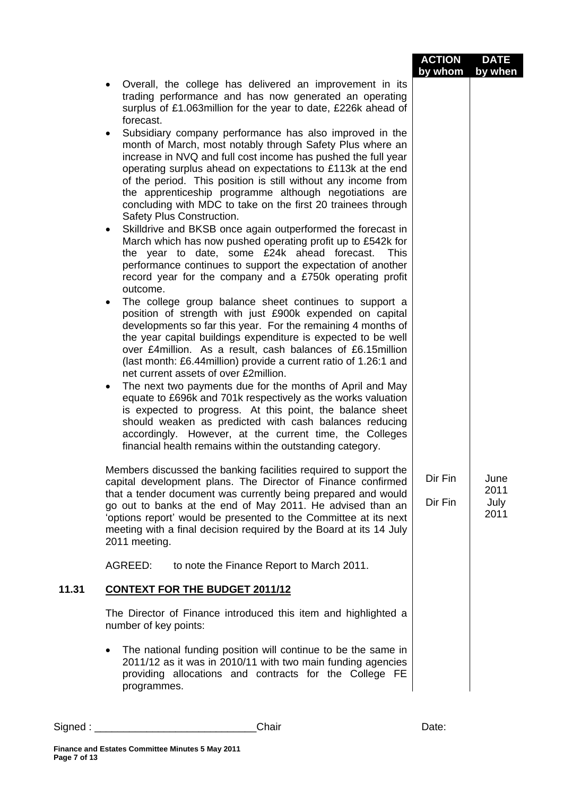|       |                                                                                                                                                                                                                                                                                                                                                                                                                                                                                                                                                                                                                                                                                                                                                                                                                                                                                                                                                                                                                                                                                                                                                                                                                                                                                                                                                                                                                                                                                                                                                                                                                                                                                                                                                                                                                                                 | <b>ACTION</b>      | <b>DATE</b>                  |
|-------|-------------------------------------------------------------------------------------------------------------------------------------------------------------------------------------------------------------------------------------------------------------------------------------------------------------------------------------------------------------------------------------------------------------------------------------------------------------------------------------------------------------------------------------------------------------------------------------------------------------------------------------------------------------------------------------------------------------------------------------------------------------------------------------------------------------------------------------------------------------------------------------------------------------------------------------------------------------------------------------------------------------------------------------------------------------------------------------------------------------------------------------------------------------------------------------------------------------------------------------------------------------------------------------------------------------------------------------------------------------------------------------------------------------------------------------------------------------------------------------------------------------------------------------------------------------------------------------------------------------------------------------------------------------------------------------------------------------------------------------------------------------------------------------------------------------------------------------------------|--------------------|------------------------------|
|       | Overall, the college has delivered an improvement in its<br>trading performance and has now generated an operating<br>surplus of £1.063million for the year to date, £226k ahead of<br>forecast.<br>Subsidiary company performance has also improved in the<br>month of March, most notably through Safety Plus where an<br>increase in NVQ and full cost income has pushed the full year<br>operating surplus ahead on expectations to £113k at the end<br>of the period. This position is still without any income from<br>the apprenticeship programme although negotiations are<br>concluding with MDC to take on the first 20 trainees through<br>Safety Plus Construction.<br>Skilldrive and BKSB once again outperformed the forecast in<br>March which has now pushed operating profit up to £542k for<br>the year to date, some £24k ahead forecast.<br><b>This</b><br>performance continues to support the expectation of another<br>record year for the company and a £750k operating profit<br>outcome.<br>The college group balance sheet continues to support a<br>position of strength with just £900k expended on capital<br>developments so far this year. For the remaining 4 months of<br>the year capital buildings expenditure is expected to be well<br>over £4million. As a result, cash balances of £6.15million<br>(last month: £6.44 million) provide a current ratio of 1.26:1 and<br>net current assets of over £2million.<br>The next two payments due for the months of April and May<br>$\bullet$<br>equate to £696k and 701k respectively as the works valuation<br>is expected to progress. At this point, the balance sheet<br>should weaken as predicted with cash balances reducing<br>accordingly. However, at the current time, the Colleges<br>financial health remains within the outstanding category. | by whom            | by when                      |
|       | Members discussed the banking facilities required to support the<br>capital development plans. The Director of Finance confirmed<br>that a tender document was currently being prepared and would<br>go out to banks at the end of May 2011. He advised than an<br>'options report' would be presented to the Committee at its next<br>meeting with a final decision required by the Board at its 14 July<br>2011 meeting.<br>AGREED:<br>to note the Finance Report to March 2011.                                                                                                                                                                                                                                                                                                                                                                                                                                                                                                                                                                                                                                                                                                                                                                                                                                                                                                                                                                                                                                                                                                                                                                                                                                                                                                                                                              | Dir Fin<br>Dir Fin | June<br>2011<br>July<br>2011 |
| 11.31 | <b>CONTEXT FOR THE BUDGET 2011/12</b>                                                                                                                                                                                                                                                                                                                                                                                                                                                                                                                                                                                                                                                                                                                                                                                                                                                                                                                                                                                                                                                                                                                                                                                                                                                                                                                                                                                                                                                                                                                                                                                                                                                                                                                                                                                                           |                    |                              |
|       | The Director of Finance introduced this item and highlighted a<br>number of key points:                                                                                                                                                                                                                                                                                                                                                                                                                                                                                                                                                                                                                                                                                                                                                                                                                                                                                                                                                                                                                                                                                                                                                                                                                                                                                                                                                                                                                                                                                                                                                                                                                                                                                                                                                         |                    |                              |
|       | The national funding position will continue to be the same in<br>2011/12 as it was in 2010/11 with two main funding agencies<br>providing allocations and contracts for the College FE<br>programmes.                                                                                                                                                                                                                                                                                                                                                                                                                                                                                                                                                                                                                                                                                                                                                                                                                                                                                                                                                                                                                                                                                                                                                                                                                                                                                                                                                                                                                                                                                                                                                                                                                                           |                    |                              |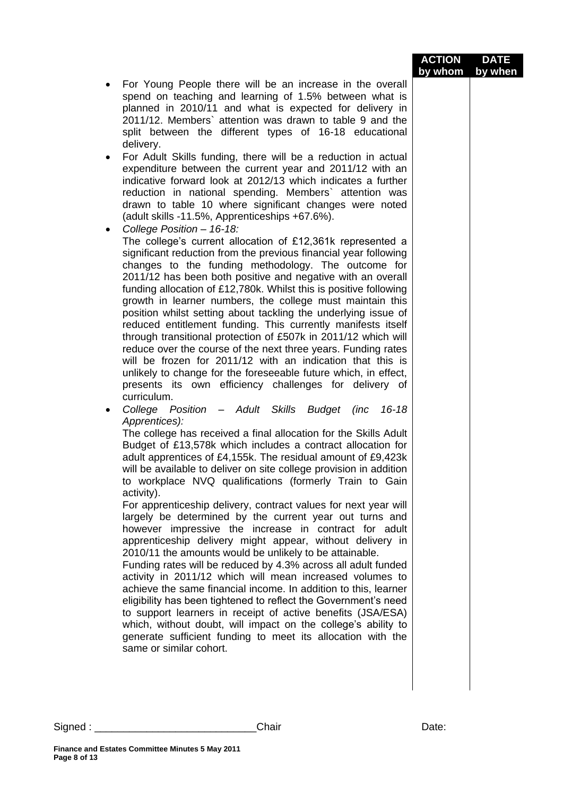| For Young People there will be an increase in the overall<br>spend on teaching and learning of 1.5% between what is<br>planned in 2010/11 and what is expected for delivery in<br>2011/12. Members` attention was drawn to table 9 and the<br>split between the different types of 16-18 educational<br>delivery.<br>For Adult Skills funding, there will be a reduction in actual<br>٠<br>expenditure between the current year and 2011/12 with an<br>indicative forward look at 2012/13 which indicates a further<br>reduction in national spending. Members` attention was<br>drawn to table 10 where significant changes were noted<br>(adult skills -11.5%, Apprenticeships +67.6%).<br>College Position - 16-18:<br>The college's current allocation of £12,361k represented a<br>significant reduction from the previous financial year following<br>changes to the funding methodology. The outcome for<br>2011/12 has been both positive and negative with an overall<br>funding allocation of £12,780k. Whilst this is positive following<br>growth in learner numbers, the college must maintain this<br>position whilst setting about tackling the underlying issue of<br>reduced entitlement funding. This currently manifests itself<br>through transitional protection of £507k in 2011/12 which will<br>reduce over the course of the next three years. Funding rates<br>will be frozen for 2011/12 with an indication that this is<br>unlikely to change for the foreseeable future which, in effect,<br>presents its own efficiency challenges for delivery of<br>curriculum.<br>College Position - Adult Skills Budget (inc<br>$16 - 18$<br>٠<br>Apprentices):<br>The college has received a final allocation for the Skills Adult<br>Budget of £13,578k which includes a contract allocation for<br>adult apprentices of £4,155k. The residual amount of £9,423k<br>will be available to deliver on site college provision in addition<br>to workplace NVQ qualifications (formerly Train to Gain<br>activity).<br>For apprenticeship delivery, contract values for next year will<br>largely be determined by the current year out turns and<br>however impressive the increase in contract for adult<br>apprenticeship delivery might appear, without delivery in<br>2010/11 the amounts would be unlikely to be attainable.<br>Funding rates will be reduced by 4.3% across all adult funded<br>activity in 2011/12 which will mean increased volumes to<br>achieve the same financial income. In addition to this, learner<br>eligibility has been tightened to reflect the Government's need<br>to support learners in receipt of active benefits (JSA/ESA)<br>which, without doubt, will impact on the college's ability to<br>generate sufficient funding to meet its allocation with the<br>same or similar cohort. |  | <b>ACTION</b> | <b>DATE</b> |
|-------------------------------------------------------------------------------------------------------------------------------------------------------------------------------------------------------------------------------------------------------------------------------------------------------------------------------------------------------------------------------------------------------------------------------------------------------------------------------------------------------------------------------------------------------------------------------------------------------------------------------------------------------------------------------------------------------------------------------------------------------------------------------------------------------------------------------------------------------------------------------------------------------------------------------------------------------------------------------------------------------------------------------------------------------------------------------------------------------------------------------------------------------------------------------------------------------------------------------------------------------------------------------------------------------------------------------------------------------------------------------------------------------------------------------------------------------------------------------------------------------------------------------------------------------------------------------------------------------------------------------------------------------------------------------------------------------------------------------------------------------------------------------------------------------------------------------------------------------------------------------------------------------------------------------------------------------------------------------------------------------------------------------------------------------------------------------------------------------------------------------------------------------------------------------------------------------------------------------------------------------------------------------------------------------------------------------------------------------------------------------------------------------------------------------------------------------------------------------------------------------------------------------------------------------------------------------------------------------------------------------------------------------------------------------------------------------------------------------------------------------------------------------------------------------------------------------------------------|--|---------------|-------------|
|                                                                                                                                                                                                                                                                                                                                                                                                                                                                                                                                                                                                                                                                                                                                                                                                                                                                                                                                                                                                                                                                                                                                                                                                                                                                                                                                                                                                                                                                                                                                                                                                                                                                                                                                                                                                                                                                                                                                                                                                                                                                                                                                                                                                                                                                                                                                                                                                                                                                                                                                                                                                                                                                                                                                                                                                                                                 |  | by whom       | by when     |
|                                                                                                                                                                                                                                                                                                                                                                                                                                                                                                                                                                                                                                                                                                                                                                                                                                                                                                                                                                                                                                                                                                                                                                                                                                                                                                                                                                                                                                                                                                                                                                                                                                                                                                                                                                                                                                                                                                                                                                                                                                                                                                                                                                                                                                                                                                                                                                                                                                                                                                                                                                                                                                                                                                                                                                                                                                                 |  |               |             |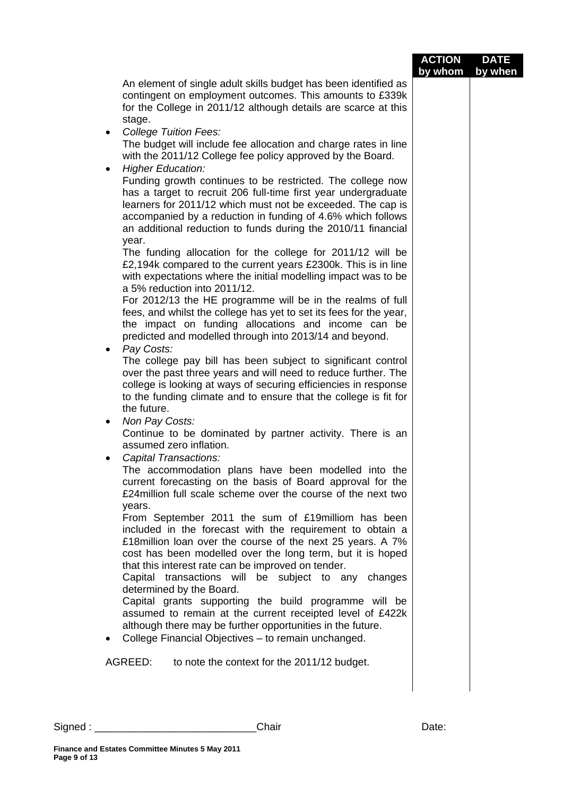|                                                                                                                                                                                                                                                                                                                                                                                                                                                    | <b>ACTION</b><br>by whom | <b>DATE</b><br>by when |
|----------------------------------------------------------------------------------------------------------------------------------------------------------------------------------------------------------------------------------------------------------------------------------------------------------------------------------------------------------------------------------------------------------------------------------------------------|--------------------------|------------------------|
| An element of single adult skills budget has been identified as<br>contingent on employment outcomes. This amounts to £339k<br>for the College in 2011/12 although details are scarce at this<br>stage.                                                                                                                                                                                                                                            |                          |                        |
| <b>College Tuition Fees:</b><br>$\bullet$<br>The budget will include fee allocation and charge rates in line<br>with the 2011/12 College fee policy approved by the Board.                                                                                                                                                                                                                                                                         |                          |                        |
| <b>Higher Education:</b><br>$\bullet$<br>Funding growth continues to be restricted. The college now<br>has a target to recruit 206 full-time first year undergraduate<br>learners for 2011/12 which must not be exceeded. The cap is<br>accompanied by a reduction in funding of 4.6% which follows<br>an additional reduction to funds during the 2010/11 financial                                                                               |                          |                        |
| year.<br>The funding allocation for the college for 2011/12 will be<br>£2,194k compared to the current years £2300k. This is in line<br>with expectations where the initial modelling impact was to be<br>a 5% reduction into 2011/12.                                                                                                                                                                                                             |                          |                        |
| For 2012/13 the HE programme will be in the realms of full<br>fees, and whilst the college has yet to set its fees for the year,<br>the impact on funding allocations and income can be<br>predicted and modelled through into 2013/14 and beyond.                                                                                                                                                                                                 |                          |                        |
| Pay Costs:<br>$\bullet$<br>The college pay bill has been subject to significant control<br>over the past three years and will need to reduce further. The<br>college is looking at ways of securing efficiencies in response<br>to the funding climate and to ensure that the college is fit for                                                                                                                                                   |                          |                        |
| the future.<br>Non Pay Costs:<br>$\bullet$<br>Continue to be dominated by partner activity. There is an<br>assumed zero inflation.                                                                                                                                                                                                                                                                                                                 |                          |                        |
| Capital Transactions:<br>The accommodation plans have been modelled into the<br>current forecasting on the basis of Board approval for the<br>£24 million full scale scheme over the course of the next two<br>years.                                                                                                                                                                                                                              |                          |                        |
| From September 2011 the sum of £19 milliom has been<br>included in the forecast with the requirement to obtain a<br>£18 million loan over the course of the next 25 years. A 7%<br>cost has been modelled over the long term, but it is hoped<br>that this interest rate can be improved on tender.<br>Capital transactions will be subject to any<br>changes<br>determined by the Board.<br>Capital grants supporting the build programme will be |                          |                        |
| assumed to remain at the current receipted level of £422k<br>although there may be further opportunities in the future.<br>College Financial Objectives - to remain unchanged.                                                                                                                                                                                                                                                                     |                          |                        |
| to note the context for the 2011/12 budget.<br>AGREED:                                                                                                                                                                                                                                                                                                                                                                                             |                          |                        |
|                                                                                                                                                                                                                                                                                                                                                                                                                                                    |                          |                        |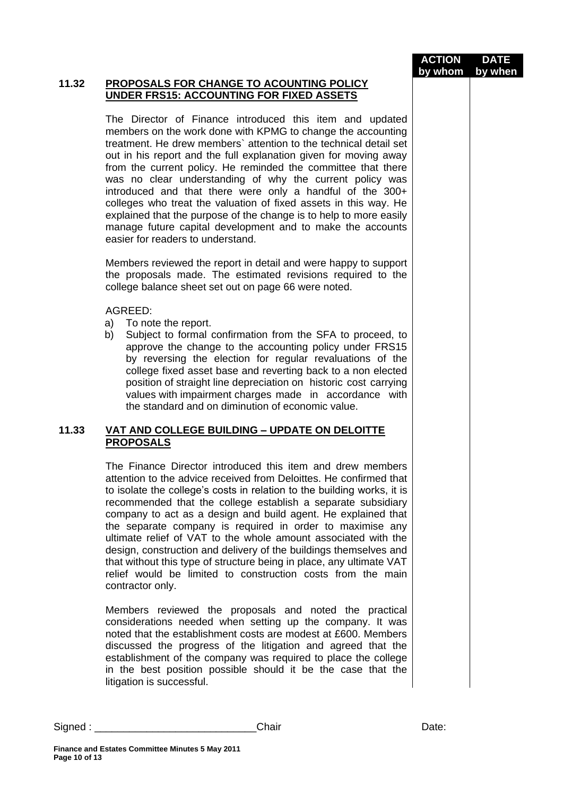**ACTION by whom DATE by when**

#### **11.32 PROPOSALS FOR CHANGE TO ACOUNTING POLICY UNDER FRS15: ACCOUNTING FOR FIXED ASSETS**

The Director of Finance introduced this item and updated members on the work done with KPMG to change the accounting treatment. He drew members` attention to the technical detail set out in his report and the full explanation given for moving away from the current policy. He reminded the committee that there was no clear understanding of why the current policy was introduced and that there were only a handful of the 300+ colleges who treat the valuation of fixed assets in this way. He explained that the purpose of the change is to help to more easily manage future capital development and to make the accounts easier for readers to understand.

Members reviewed the report in detail and were happy to support the proposals made. The estimated revisions required to the college balance sheet set out on page 66 were noted.

#### AGREED:

- a) To note the report.
- b) Subject to formal confirmation from the SFA to proceed, to approve the change to the accounting policy under FRS15 by reversing the election for regular revaluations of the college fixed asset base and reverting back to a non elected position of straight line depreciation on historic cost carrying values with impairment charges made in accordance with the standard and on diminution of economic value.

### **11.33 VAT AND COLLEGE BUILDING – UPDATE ON DELOITTE PROPOSALS**

The Finance Director introduced this item and drew members attention to the advice received from Deloittes. He confirmed that to isolate the college's costs in relation to the building works, it is recommended that the college establish a separate subsidiary company to act as a design and build agent. He explained that the separate company is required in order to maximise any ultimate relief of VAT to the whole amount associated with the design, construction and delivery of the buildings themselves and that without this type of structure being in place, any ultimate VAT relief would be limited to construction costs from the main contractor only.

Members reviewed the proposals and noted the practical considerations needed when setting up the company. It was noted that the establishment costs are modest at £600. Members discussed the progress of the litigation and agreed that the establishment of the company was required to place the college in the best position possible should it be the case that the litigation is successful.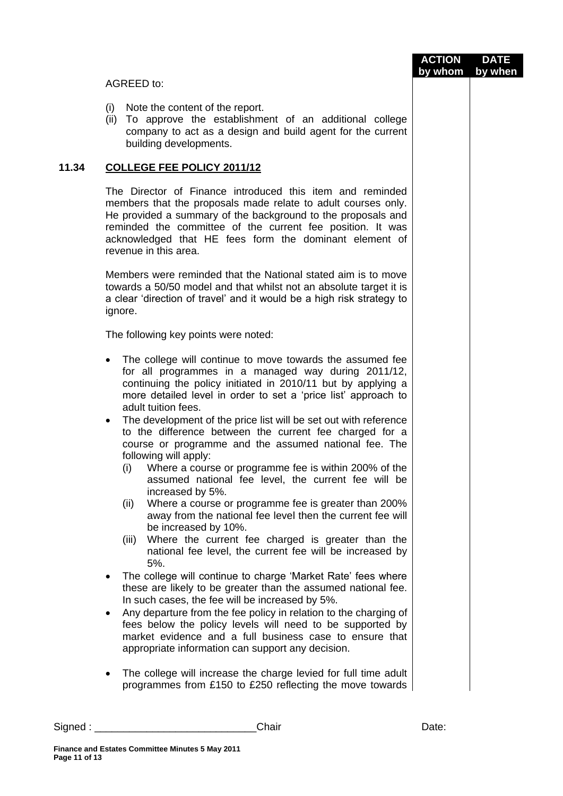|       |                                                                                                                                                                                                                                                                                                                                             | <b>ACTION</b><br>by whom | <b>DATE</b><br>by when |
|-------|---------------------------------------------------------------------------------------------------------------------------------------------------------------------------------------------------------------------------------------------------------------------------------------------------------------------------------------------|--------------------------|------------------------|
|       | AGREED to:                                                                                                                                                                                                                                                                                                                                  |                          |                        |
|       | (i)<br>Note the content of the report.<br>(ii) To approve the establishment of an additional college<br>company to act as a design and build agent for the current<br>building developments.                                                                                                                                                |                          |                        |
| 11.34 | <b>COLLEGE FEE POLICY 2011/12</b>                                                                                                                                                                                                                                                                                                           |                          |                        |
|       | The Director of Finance introduced this item and reminded<br>members that the proposals made relate to adult courses only.<br>He provided a summary of the background to the proposals and<br>reminded the committee of the current fee position. It was<br>acknowledged that HE fees form the dominant element of<br>revenue in this area. |                          |                        |
|       | Members were reminded that the National stated aim is to move<br>towards a 50/50 model and that whilst not an absolute target it is<br>a clear 'direction of travel' and it would be a high risk strategy to<br>ignore.                                                                                                                     |                          |                        |
|       | The following key points were noted:                                                                                                                                                                                                                                                                                                        |                          |                        |
|       | The college will continue to move towards the assumed fee<br>$\bullet$<br>for all programmes in a managed way during 2011/12,<br>continuing the policy initiated in 2010/11 but by applying a<br>more detailed level in order to set a 'price list' approach to<br>adult tuition fees.                                                      |                          |                        |
|       | The development of the price list will be set out with reference<br>٠<br>to the difference between the current fee charged for a<br>course or programme and the assumed national fee. The<br>following will apply:<br>Where a course or programme fee is within 200% of the<br>(i)<br>assumed national fee level, the current fee will be   |                          |                        |
|       | increased by 5%.<br>Where a course or programme fee is greater than 200%<br>(ii)<br>away from the national fee level then the current fee will<br>be increased by 10%.<br>Where the current fee charged is greater than the<br>(iii)                                                                                                        |                          |                        |
|       | national fee level, the current fee will be increased by<br>5%.                                                                                                                                                                                                                                                                             |                          |                        |
|       | The college will continue to charge 'Market Rate' fees where<br>these are likely to be greater than the assumed national fee.<br>In such cases, the fee will be increased by 5%.                                                                                                                                                            |                          |                        |
|       | Any departure from the fee policy in relation to the charging of<br>fees below the policy levels will need to be supported by<br>market evidence and a full business case to ensure that<br>appropriate information can support any decision.                                                                                               |                          |                        |
|       | The college will increase the charge levied for full time adult<br>programmes from £150 to £250 reflecting the move towards                                                                                                                                                                                                                 |                          |                        |

Signed : \_\_\_\_\_\_\_\_\_\_\_\_\_\_\_\_\_\_\_\_\_\_\_\_\_\_\_\_Chair Date: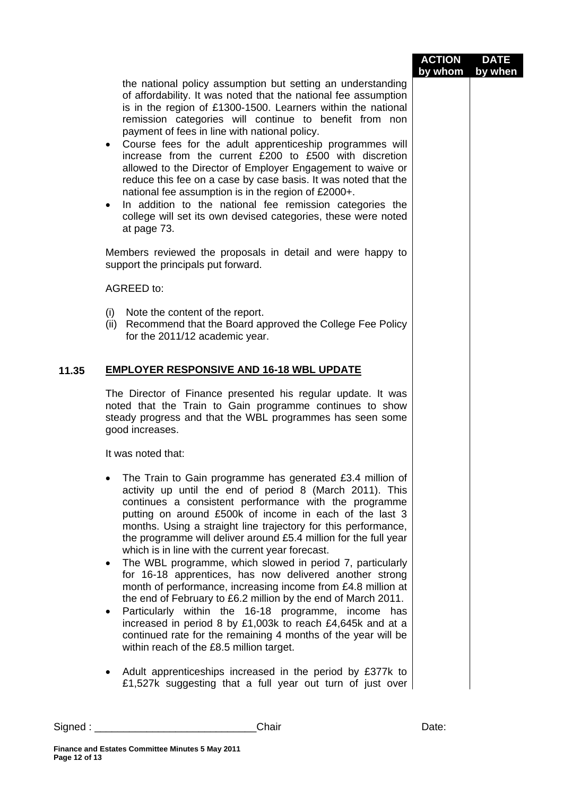|       |                                                                                                                                                                                                                                                                                                                                                                                                                                                                                                                                                                                                                                                                                                                                                                                                                                                                                                                                                  | <b>ACTION</b> | <b>DATE</b> |
|-------|--------------------------------------------------------------------------------------------------------------------------------------------------------------------------------------------------------------------------------------------------------------------------------------------------------------------------------------------------------------------------------------------------------------------------------------------------------------------------------------------------------------------------------------------------------------------------------------------------------------------------------------------------------------------------------------------------------------------------------------------------------------------------------------------------------------------------------------------------------------------------------------------------------------------------------------------------|---------------|-------------|
|       | the national policy assumption but setting an understanding<br>of affordability. It was noted that the national fee assumption<br>is in the region of £1300-1500. Learners within the national<br>remission categories will continue to benefit from non<br>payment of fees in line with national policy.<br>Course fees for the adult apprenticeship programmes will<br>increase from the current £200 to £500 with discretion<br>allowed to the Director of Employer Engagement to waive or<br>reduce this fee on a case by case basis. It was noted that the<br>national fee assumption is in the region of £2000+.<br>In addition to the national fee remission categories the<br>$\bullet$<br>college will set its own devised categories, these were noted<br>at page 73.                                                                                                                                                                  | by whom       | by when     |
|       | Members reviewed the proposals in detail and were happy to<br>support the principals put forward.                                                                                                                                                                                                                                                                                                                                                                                                                                                                                                                                                                                                                                                                                                                                                                                                                                                |               |             |
|       | AGREED to:                                                                                                                                                                                                                                                                                                                                                                                                                                                                                                                                                                                                                                                                                                                                                                                                                                                                                                                                       |               |             |
|       | (i) Note the content of the report.<br>(ii) Recommend that the Board approved the College Fee Policy<br>for the 2011/12 academic year.                                                                                                                                                                                                                                                                                                                                                                                                                                                                                                                                                                                                                                                                                                                                                                                                           |               |             |
| 11.35 | <b>EMPLOYER RESPONSIVE AND 16-18 WBL UPDATE</b>                                                                                                                                                                                                                                                                                                                                                                                                                                                                                                                                                                                                                                                                                                                                                                                                                                                                                                  |               |             |
|       | The Director of Finance presented his regular update. It was<br>noted that the Train to Gain programme continues to show<br>steady progress and that the WBL programmes has seen some<br>good increases.                                                                                                                                                                                                                                                                                                                                                                                                                                                                                                                                                                                                                                                                                                                                         |               |             |
|       | It was noted that:                                                                                                                                                                                                                                                                                                                                                                                                                                                                                                                                                                                                                                                                                                                                                                                                                                                                                                                               |               |             |
|       | The Train to Gain programme has generated £3.4 million of<br>activity up until the end of period 8 (March 2011). This<br>continues a consistent performance with the programme<br>putting on around £500k of income in each of the last 3<br>months. Using a straight line trajectory for this performance,<br>the programme will deliver around £5.4 million for the full year<br>which is in line with the current year forecast.<br>The WBL programme, which slowed in period 7, particularly<br>$\bullet$<br>for 16-18 apprentices, has now delivered another strong<br>month of performance, increasing income from £4.8 million at<br>the end of February to £6.2 million by the end of March 2011.<br>Particularly within the 16-18 programme, income has<br>٠<br>increased in period 8 by £1,003k to reach £4,645k and at a<br>continued rate for the remaining 4 months of the year will be<br>within reach of the £8.5 million target. |               |             |
|       | Adult apprenticeships increased in the period by £377k to<br>£1,527k suggesting that a full year out turn of just over                                                                                                                                                                                                                                                                                                                                                                                                                                                                                                                                                                                                                                                                                                                                                                                                                           |               |             |

Signed : \_\_\_\_\_\_\_\_\_\_\_\_\_\_\_\_\_\_\_\_\_\_\_\_\_\_\_\_Chair Date: